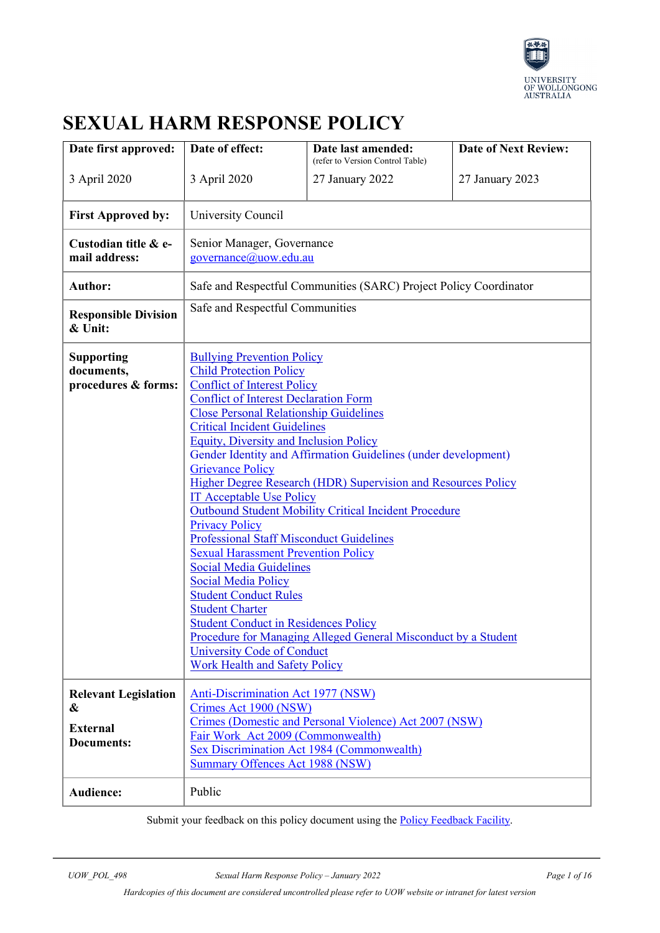

# **SEXUAL HARM RESPONSE POLICY**

| Date first approved:                                                     | Date of effect:                                                                                                                                                                                                                                                                                                                                                                                                                                                                                                                                                                                                                                                                                                                                                                                                                                                                                                                                                                                                | Date last amended:<br>(refer to Version Control Table) | <b>Date of Next Review:</b> |  |
|--------------------------------------------------------------------------|----------------------------------------------------------------------------------------------------------------------------------------------------------------------------------------------------------------------------------------------------------------------------------------------------------------------------------------------------------------------------------------------------------------------------------------------------------------------------------------------------------------------------------------------------------------------------------------------------------------------------------------------------------------------------------------------------------------------------------------------------------------------------------------------------------------------------------------------------------------------------------------------------------------------------------------------------------------------------------------------------------------|--------------------------------------------------------|-----------------------------|--|
| 3 April 2020                                                             | 3 April 2020                                                                                                                                                                                                                                                                                                                                                                                                                                                                                                                                                                                                                                                                                                                                                                                                                                                                                                                                                                                                   | 27 January 2022                                        | 27 January 2023             |  |
| <b>First Approved by:</b>                                                | University Council                                                                                                                                                                                                                                                                                                                                                                                                                                                                                                                                                                                                                                                                                                                                                                                                                                                                                                                                                                                             |                                                        |                             |  |
| Custodian title & e-<br>mail address:                                    | Senior Manager, Governance<br>governance@uow.edu.au                                                                                                                                                                                                                                                                                                                                                                                                                                                                                                                                                                                                                                                                                                                                                                                                                                                                                                                                                            |                                                        |                             |  |
| <b>Author:</b>                                                           | Safe and Respectful Communities (SARC) Project Policy Coordinator                                                                                                                                                                                                                                                                                                                                                                                                                                                                                                                                                                                                                                                                                                                                                                                                                                                                                                                                              |                                                        |                             |  |
| <b>Responsible Division</b><br>& Unit:                                   | Safe and Respectful Communities                                                                                                                                                                                                                                                                                                                                                                                                                                                                                                                                                                                                                                                                                                                                                                                                                                                                                                                                                                                |                                                        |                             |  |
| Supporting<br>documents,<br>procedures & forms:                          | <b>Bullying Prevention Policy</b><br><b>Child Protection Policy</b><br><b>Conflict of Interest Policy</b><br><b>Conflict of Interest Declaration Form</b><br><b>Close Personal Relationship Guidelines</b><br><b>Critical Incident Guidelines</b><br><b>Equity, Diversity and Inclusion Policy</b><br>Gender Identity and Affirmation Guidelines (under development)<br><b>Grievance Policy</b><br>Higher Degree Research (HDR) Supervision and Resources Policy<br><b>IT Acceptable Use Policy</b><br><b>Outbound Student Mobility Critical Incident Procedure</b><br><b>Privacy Policy</b><br><b>Professional Staff Misconduct Guidelines</b><br><b>Sexual Harassment Prevention Policy</b><br><b>Social Media Guidelines</b><br><b>Social Media Policy</b><br><b>Student Conduct Rules</b><br><b>Student Charter</b><br><b>Student Conduct in Residences Policy</b><br>Procedure for Managing Alleged General Misconduct by a Student<br>University Code of Conduct<br><b>Work Health and Safety Policy</b> |                                                        |                             |  |
| <b>Relevant Legislation</b><br>&<br><b>External</b><br><b>Documents:</b> | <b>Anti-Discrimination Act 1977 (NSW)</b><br>Crimes Act 1900 (NSW)<br>Crimes (Domestic and Personal Violence) Act 2007 (NSW)<br>Fair Work Act 2009 (Commonwealth)<br>Sex Discrimination Act 1984 (Commonwealth)<br><b>Summary Offences Act 1988 (NSW)</b>                                                                                                                                                                                                                                                                                                                                                                                                                                                                                                                                                                                                                                                                                                                                                      |                                                        |                             |  |
| Audience:                                                                | Public                                                                                                                                                                                                                                                                                                                                                                                                                                                                                                                                                                                                                                                                                                                                                                                                                                                                                                                                                                                                         |                                                        |                             |  |

Submit your feedback on this policy document using the **Policy Feedback Facility**.

*Hardcopies of this document are considered uncontrolled please refer to UOW website or intranet for latest version*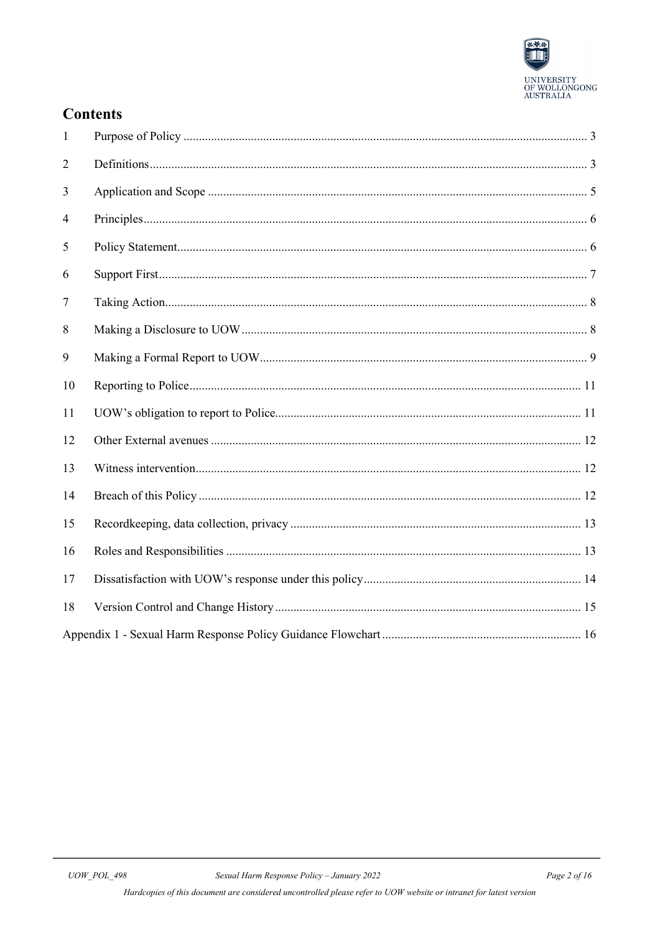

### **Contents**

| $\mathbf{1}$   |  |
|----------------|--|
| $\overline{2}$ |  |
| 3              |  |
| 4              |  |
| 5              |  |
| 6              |  |
| 7              |  |
| 8              |  |
| 9              |  |
| 10             |  |
| 11             |  |
| 12             |  |
| 13             |  |
| 14             |  |
| 15             |  |
| 16             |  |
| 17             |  |
| 18             |  |
|                |  |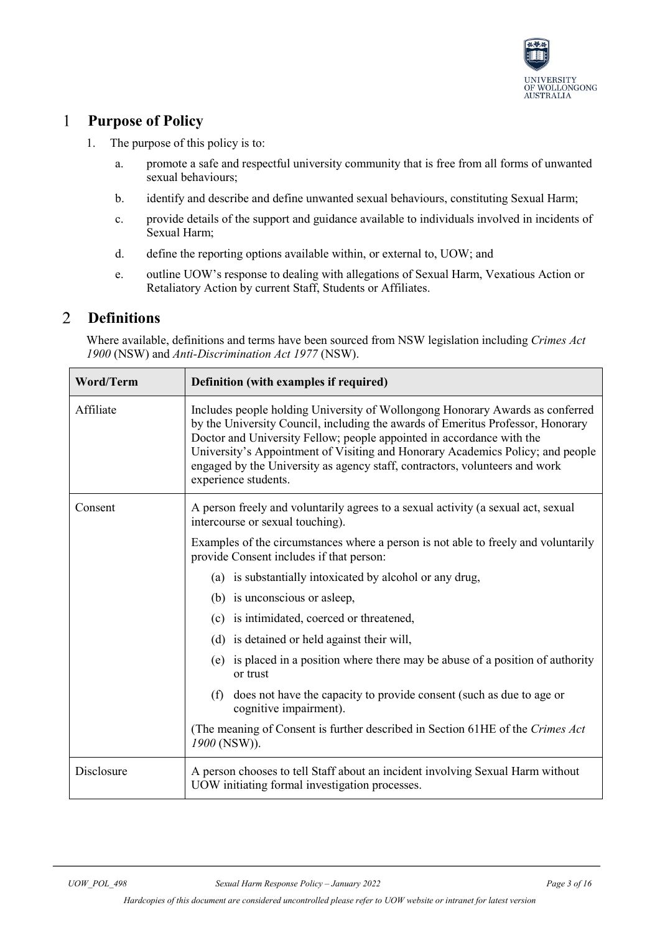

#### <span id="page-2-0"></span>**Purpose of Policy**  $\mathbf{1}$

- 1. The purpose of this policy is to:
	- a. promote a safe and respectful university community that is free from all forms of unwanted sexual behaviours;
	- b. identify and describe and define unwanted sexual behaviours, constituting Sexual Harm;
	- c. provide details of the support and guidance available to individuals involved in incidents of Sexual Harm;
	- d. define the reporting options available within, or external to, UOW; and
	- e. outline UOW's response to dealing with allegations of Sexual Harm, Vexatious Action or Retaliatory Action by current Staff, Students or Affiliates.

#### <span id="page-2-1"></span>2 **Definitions**

Where available, definitions and terms have been sourced from NSW legislation including *Crimes Act 1900* (NSW) and *Anti-Discrimination Act 1977* (NSW).

| Word/Term  | Definition (with examples if required)                                                                                                                                                                                                                                                                                                                                                                                             |  |  |
|------------|------------------------------------------------------------------------------------------------------------------------------------------------------------------------------------------------------------------------------------------------------------------------------------------------------------------------------------------------------------------------------------------------------------------------------------|--|--|
| Affiliate  | Includes people holding University of Wollongong Honorary Awards as conferred<br>by the University Council, including the awards of Emeritus Professor, Honorary<br>Doctor and University Fellow; people appointed in accordance with the<br>University's Appointment of Visiting and Honorary Academics Policy; and people<br>engaged by the University as agency staff, contractors, volunteers and work<br>experience students. |  |  |
| Consent    | A person freely and voluntarily agrees to a sexual activity (a sexual act, sexual<br>intercourse or sexual touching).                                                                                                                                                                                                                                                                                                              |  |  |
|            | Examples of the circumstances where a person is not able to freely and voluntarily<br>provide Consent includes if that person:                                                                                                                                                                                                                                                                                                     |  |  |
|            | (a) is substantially intoxicated by alcohol or any drug,                                                                                                                                                                                                                                                                                                                                                                           |  |  |
|            | (b) is unconscious or asleep,                                                                                                                                                                                                                                                                                                                                                                                                      |  |  |
|            | (c) is intimidated, coerced or threatened,                                                                                                                                                                                                                                                                                                                                                                                         |  |  |
|            | (d) is detained or held against their will,                                                                                                                                                                                                                                                                                                                                                                                        |  |  |
|            | (e) is placed in a position where there may be abuse of a position of authority<br>or trust                                                                                                                                                                                                                                                                                                                                        |  |  |
|            | (f)<br>does not have the capacity to provide consent (such as due to age or<br>cognitive impairment).                                                                                                                                                                                                                                                                                                                              |  |  |
|            | (The meaning of Consent is further described in Section 61HE of the Crimes Act<br>1900 (NSW)).                                                                                                                                                                                                                                                                                                                                     |  |  |
| Disclosure | A person chooses to tell Staff about an incident involving Sexual Harm without<br>UOW initiating formal investigation processes.                                                                                                                                                                                                                                                                                                   |  |  |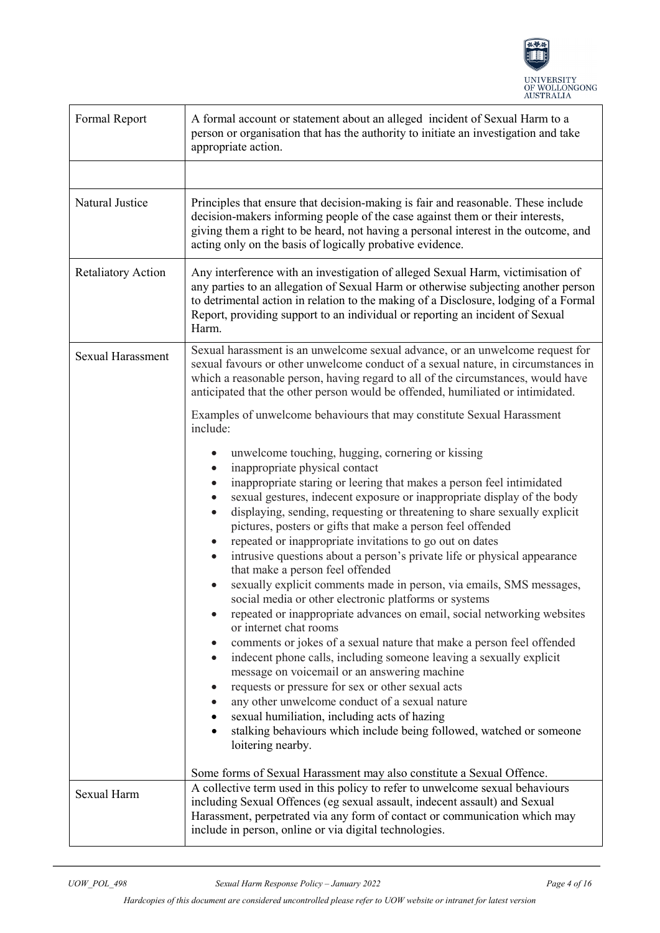

| Formal Report             | A formal account or statement about an alleged incident of Sexual Harm to a<br>person or organisation that has the authority to initiate an investigation and take<br>appropriate action.                                                                                                                                                                                                                                                                                                                                                                                                                                                                                                                                                                                                                                                                                                                                                                                                                                                                                                                                                                                                                                                                                                                                                                                 |  |  |
|---------------------------|---------------------------------------------------------------------------------------------------------------------------------------------------------------------------------------------------------------------------------------------------------------------------------------------------------------------------------------------------------------------------------------------------------------------------------------------------------------------------------------------------------------------------------------------------------------------------------------------------------------------------------------------------------------------------------------------------------------------------------------------------------------------------------------------------------------------------------------------------------------------------------------------------------------------------------------------------------------------------------------------------------------------------------------------------------------------------------------------------------------------------------------------------------------------------------------------------------------------------------------------------------------------------------------------------------------------------------------------------------------------------|--|--|
|                           |                                                                                                                                                                                                                                                                                                                                                                                                                                                                                                                                                                                                                                                                                                                                                                                                                                                                                                                                                                                                                                                                                                                                                                                                                                                                                                                                                                           |  |  |
| Natural Justice           | Principles that ensure that decision-making is fair and reasonable. These include<br>decision-makers informing people of the case against them or their interests,<br>giving them a right to be heard, not having a personal interest in the outcome, and<br>acting only on the basis of logically probative evidence.                                                                                                                                                                                                                                                                                                                                                                                                                                                                                                                                                                                                                                                                                                                                                                                                                                                                                                                                                                                                                                                    |  |  |
| <b>Retaliatory Action</b> | Any interference with an investigation of alleged Sexual Harm, victimisation of<br>any parties to an allegation of Sexual Harm or otherwise subjecting another person<br>to detrimental action in relation to the making of a Disclosure, lodging of a Formal<br>Report, providing support to an individual or reporting an incident of Sexual<br>Harm.                                                                                                                                                                                                                                                                                                                                                                                                                                                                                                                                                                                                                                                                                                                                                                                                                                                                                                                                                                                                                   |  |  |
| <b>Sexual Harassment</b>  | Sexual harassment is an unwelcome sexual advance, or an unwelcome request for<br>sexual favours or other unwelcome conduct of a sexual nature, in circumstances in<br>which a reasonable person, having regard to all of the circumstances, would have<br>anticipated that the other person would be offended, humiliated or intimidated.                                                                                                                                                                                                                                                                                                                                                                                                                                                                                                                                                                                                                                                                                                                                                                                                                                                                                                                                                                                                                                 |  |  |
|                           | Examples of unwelcome behaviours that may constitute Sexual Harassment<br>include:                                                                                                                                                                                                                                                                                                                                                                                                                                                                                                                                                                                                                                                                                                                                                                                                                                                                                                                                                                                                                                                                                                                                                                                                                                                                                        |  |  |
|                           | unwelcome touching, hugging, cornering or kissing<br>inappropriate physical contact<br>inappropriate staring or leering that makes a person feel intimidated<br>sexual gestures, indecent exposure or inappropriate display of the body<br>displaying, sending, requesting or threatening to share sexually explicit<br>pictures, posters or gifts that make a person feel offended<br>repeated or inappropriate invitations to go out on dates<br>intrusive questions about a person's private life or physical appearance<br>that make a person feel offended<br>sexually explicit comments made in person, via emails, SMS messages,<br>social media or other electronic platforms or systems<br>repeated or inappropriate advances on email, social networking websites<br>or internet chat rooms<br>comments or jokes of a sexual nature that make a person feel offended<br>$\bullet$<br>indecent phone calls, including someone leaving a sexually explicit<br>$\bullet$<br>message on voicemail or an answering machine<br>requests or pressure for sex or other sexual acts<br>$\bullet$<br>any other unwelcome conduct of a sexual nature<br>sexual humiliation, including acts of hazing<br>stalking behaviours which include being followed, watched or someone<br>loitering nearby.<br>Some forms of Sexual Harassment may also constitute a Sexual Offence. |  |  |
| Sexual Harm               | A collective term used in this policy to refer to unwelcome sexual behaviours<br>including Sexual Offences (eg sexual assault, indecent assault) and Sexual<br>Harassment, perpetrated via any form of contact or communication which may<br>include in person, online or via digital technologies.                                                                                                                                                                                                                                                                                                                                                                                                                                                                                                                                                                                                                                                                                                                                                                                                                                                                                                                                                                                                                                                                       |  |  |

*Hardcopies of this document are considered uncontrolled please refer to UOW website or intranet for latest version*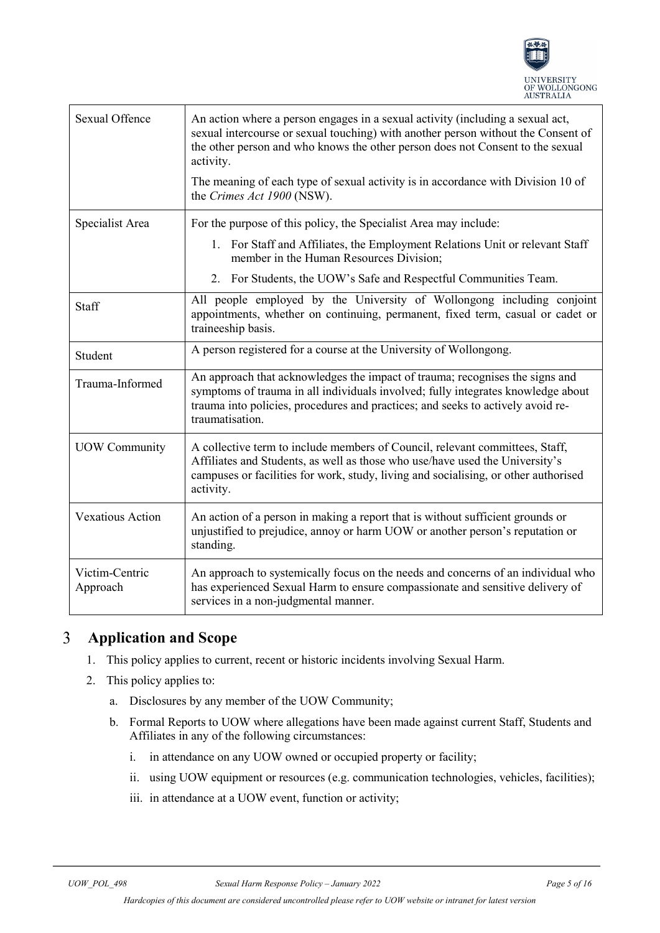

| <b>Sexual Offence</b>      | An action where a person engages in a sexual activity (including a sexual act,<br>sexual intercourse or sexual touching) with another person without the Consent of<br>the other person and who knows the other person does not Consent to the sexual<br>activity.<br>The meaning of each type of sexual activity is in accordance with Division 10 of<br>the Crimes Act 1900 (NSW). |  |
|----------------------------|--------------------------------------------------------------------------------------------------------------------------------------------------------------------------------------------------------------------------------------------------------------------------------------------------------------------------------------------------------------------------------------|--|
| Specialist Area            | For the purpose of this policy, the Specialist Area may include:<br>1. For Staff and Affiliates, the Employment Relations Unit or relevant Staff<br>member in the Human Resources Division;<br>2. For Students, the UOW's Safe and Respectful Communities Team.                                                                                                                      |  |
| Staff                      | All people employed by the University of Wollongong including conjoint<br>appointments, whether on continuing, permanent, fixed term, casual or cadet or<br>traineeship basis.                                                                                                                                                                                                       |  |
| Student                    | A person registered for a course at the University of Wollongong.                                                                                                                                                                                                                                                                                                                    |  |
| Trauma-Informed            | An approach that acknowledges the impact of trauma; recognises the signs and<br>symptoms of trauma in all individuals involved; fully integrates knowledge about<br>trauma into policies, procedures and practices; and seeks to actively avoid re-<br>traumatisation.                                                                                                               |  |
| <b>UOW Community</b>       | A collective term to include members of Council, relevant committees, Staff,<br>Affiliates and Students, as well as those who use/have used the University's<br>campuses or facilities for work, study, living and socialising, or other authorised<br>activity.                                                                                                                     |  |
| <b>Vexatious Action</b>    | An action of a person in making a report that is without sufficient grounds or<br>unjustified to prejudice, annoy or harm UOW or another person's reputation or<br>standing.                                                                                                                                                                                                         |  |
| Victim-Centric<br>Approach | An approach to systemically focus on the needs and concerns of an individual who<br>has experienced Sexual Harm to ensure compassionate and sensitive delivery of<br>services in a non-judgmental manner.                                                                                                                                                                            |  |

#### <span id="page-4-0"></span> $\overline{3}$ **Application and Scope**

- 1. This policy applies to current, recent or historic incidents involving Sexual Harm.
- 2. This policy applies to:
	- a. Disclosures by any member of the UOW Community;
	- b. Formal Reports to UOW where allegations have been made against current Staff, Students and Affiliates in any of the following circumstances:
		- i. in attendance on any UOW owned or occupied property or facility;
		- ii. using UOW equipment or resources (e.g. communication technologies, vehicles, facilities);
		- iii. in attendance at a UOW event, function or activity;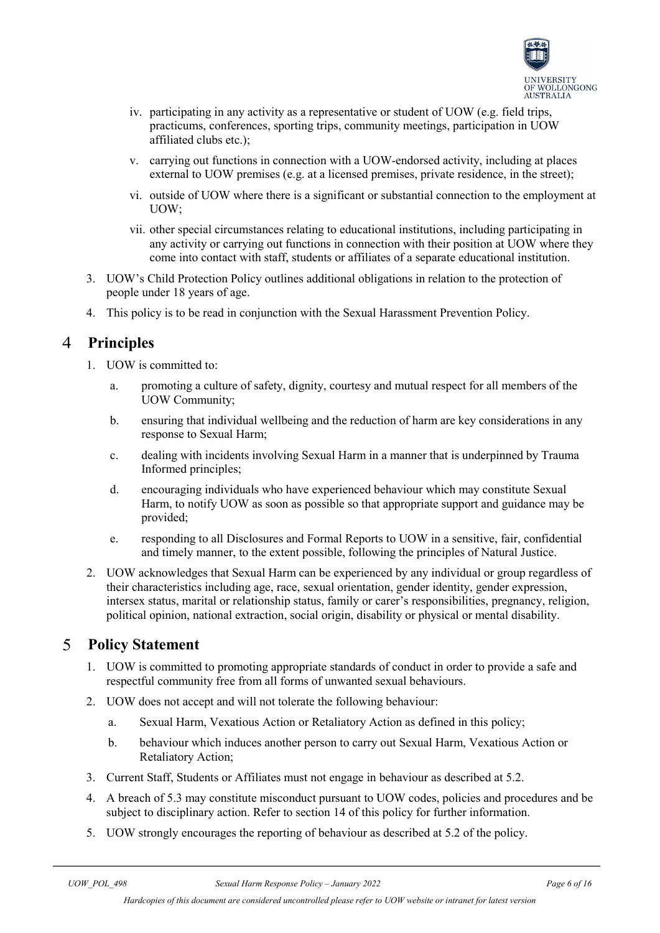

- iv. participating in any activity as a representative or student of UOW (e.g. field trips, practicums, conferences, sporting trips, community meetings, participation in UOW affiliated clubs etc.);
- v. carrying out functions in connection with a UOW-endorsed activity, including at places external to UOW premises (e.g. at a licensed premises, private residence, in the street);
- vi. outside of UOW where there is a significant or substantial connection to the employment at UOW;
- vii. other special circumstances relating to educational institutions, including participating in any activity or carrying out functions in connection with their position at UOW where they come into contact with staff, students or affiliates of a separate educational institution.
- 3. UOW's Child Protection Policy outlines additional obligations in relation to the protection of people under 18 years of age.
- 4. This policy is to be read in conjunction with the Sexual Harassment Prevention Policy.

#### <span id="page-5-0"></span> $\overline{4}$ **Principles**

- 1. UOW is committed to:
	- a. promoting a culture of safety, dignity, courtesy and mutual respect for all members of the UOW Community;
	- b. ensuring that individual wellbeing and the reduction of harm are key considerations in any response to Sexual Harm;
	- c. dealing with incidents involving Sexual Harm in a manner that is underpinned by Trauma Informed principles;
	- d. encouraging individuals who have experienced behaviour which may constitute Sexual Harm, to notify UOW as soon as possible so that appropriate support and guidance may be provided;
	- e. responding to all Disclosures and Formal Reports to UOW in a sensitive, fair, confidential and timely manner, to the extent possible, following the principles of Natural Justice.
- 2. UOW acknowledges that Sexual Harm can be experienced by any individual or group regardless of their characteristics including age, race, sexual orientation, gender identity, gender expression, intersex status, marital or relationship status, family or carer's responsibilities, pregnancy, religion, political opinion, national extraction, social origin, disability or physical or mental disability.

#### <span id="page-5-1"></span> $\mathfrak{S}$ **Policy Statement**

- 1. UOW is committed to promoting appropriate standards of conduct in order to provide a safe and respectful community free from all forms of unwanted sexual behaviours.
- 2. UOW does not accept and will not tolerate the following behaviour:
	- a. Sexual Harm, Vexatious Action or Retaliatory Action as defined in this policy;
	- b. behaviour which induces another person to carry out Sexual Harm, Vexatious Action or Retaliatory Action;
- 3. Current Staff, Students or Affiliates must not engage in behaviour as described at 5.2.
- 4. A breach of 5.3 may constitute misconduct pursuant to UOW codes, policies and procedures and be subject to disciplinary action. Refer to section 14 of this policy for further information.
- 5. UOW strongly encourages the reporting of behaviour as described at 5.2 of the policy.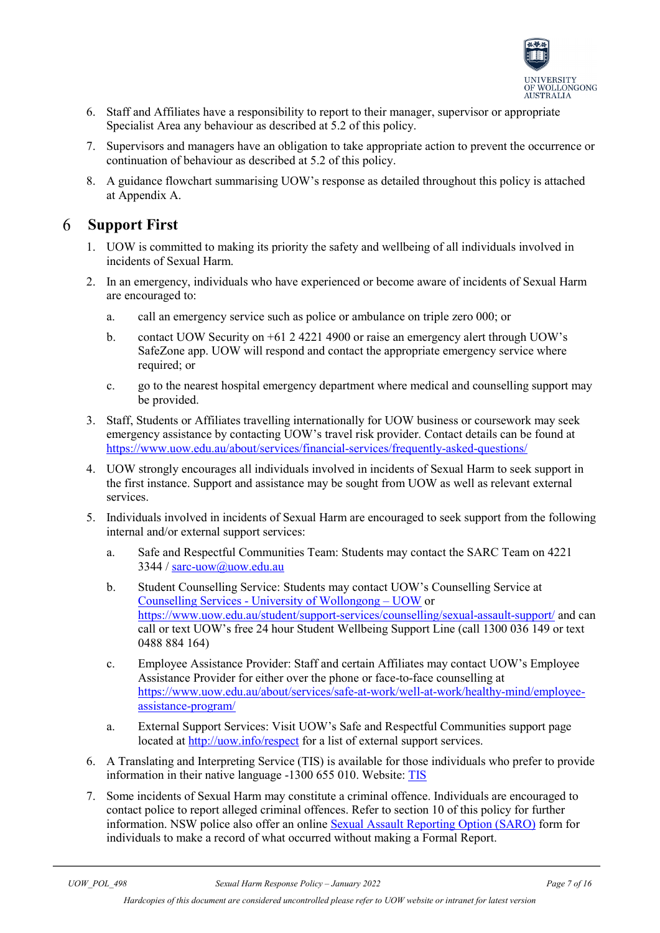

- 6. Staff and Affiliates have a responsibility to report to their manager, supervisor or appropriate Specialist Area any behaviour as described at 5.2 of this policy.
- 7. Supervisors and managers have an obligation to take appropriate action to prevent the occurrence or continuation of behaviour as described at 5.2 of this policy.
- 8. A guidance flowchart summarising UOW's response as detailed throughout this policy is attached at Appendix A.

#### <span id="page-6-0"></span>6 **Support First**

- 1. UOW is committed to making its priority the safety and wellbeing of all individuals involved in incidents of Sexual Harm.
- 2. In an emergency, individuals who have experienced or become aware of incidents of Sexual Harm are encouraged to:
	- a. call an emergency service such as police or ambulance on triple zero 000; or
	- b. contact UOW Security on +61 2 4221 4900 or raise an emergency alert through UOW's SafeZone app. UOW will respond and contact the appropriate emergency service where required; or
	- c. go to the nearest hospital emergency department where medical and counselling support may be provided.
- 3. Staff, Students or Affiliates travelling internationally for UOW business or coursework may seek emergency assistance by contacting UOW's travel risk provider. Contact details can be found at <https://www.uow.edu.au/about/services/financial-services/frequently-asked-questions/>
- 4. UOW strongly encourages all individuals involved in incidents of Sexual Harm to seek support in the first instance. Support and assistance may be sought from UOW as well as relevant external services.
- 5. Individuals involved in incidents of Sexual Harm are encouraged to seek support from the following internal and/or external support services:
	- a. Safe and Respectful Communities Team: Students may contact the SARC Team on 4221 3344 / [sarc-uow@uow.edu.au](mailto:sarc-uow@uow.edu.au)
	- b. Student Counselling Service: Students may contact UOW's Counselling Service at Counselling Services - [University of Wollongong –](file://ad.uow.edu.au/Shares/SARC/SARC%20related%20policy%20amendments/Improper%20Sexual%20Conduct%20Response%20Policy/Counselling%20Services%20-%20University%20of%20Wollongong%20%E2%80%93%20UOW) UOW or <https://www.uow.edu.au/student/support-services/counselling/sexual-assault-support/> and can call or text UOW's free 24 hour Student Wellbeing Support Line (call 1300 036 149 or text 0488 884 164)
	- c. Employee Assistance Provider: Staff and certain Affiliates may contact UOW's Employee Assistance Provider for either over the phone or face-to-face counselling at [https://www.uow.edu.au/about/services/safe-at-work/well-at-work/healthy-mind/employee](https://www.uow.edu.au/about/services/safe-at-work/well-at-work/healthy-mind/employee-assistance-program/)[assistance-program/](https://www.uow.edu.au/about/services/safe-at-work/well-at-work/healthy-mind/employee-assistance-program/)
	- a. External Support Services: Visit UOW's Safe and Respectful Communities support page located at<http://uow.info/respect> for a list of external support services.
- 6. A Translating and Interpreting Service (TIS) is available for those individuals who prefer to provide information in their native language -1300 655 010. Website: [TIS](http://www.tisnational.gov.au/)
- 7. Some incidents of Sexual Harm may constitute a criminal offence. Individuals are encouraged to contact police to report alleged criminal offences. Refer to section 10 of this policy for further information. NSW police also offer an online [Sexual Assault Reporting Option \(SARO\)](https://www.police.nsw.gov.au/__data/assets/pdf_file/0013/224014/SARO_Form_200213.pdf) form for individuals to make a record of what occurred without making a Formal Report.

*Hardcopies of this document are considered uncontrolled please refer to UOW website or intranet for latest version*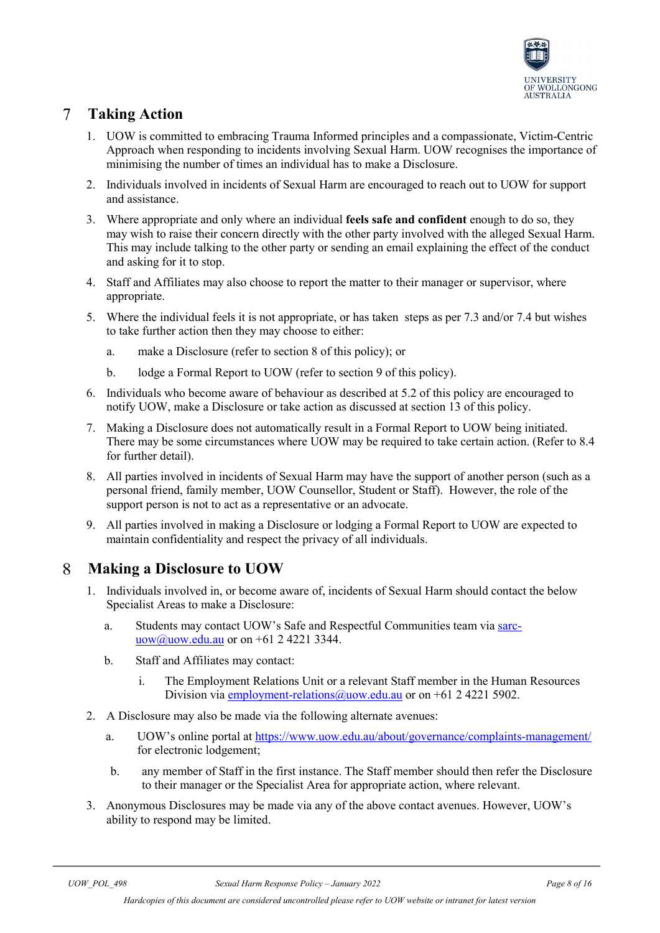

### <span id="page-7-0"></span> $7\overline{ }$ **Taking Action**

- 1. UOW is committed to embracing Trauma Informed principles and a compassionate, Victim-Centric Approach when responding to incidents involving Sexual Harm. UOW recognises the importance of minimising the number of times an individual has to make a Disclosure.
- 2. Individuals involved in incidents of Sexual Harm are encouraged to reach out to UOW for support and assistance.
- 3. Where appropriate and only where an individual **feels safe and confident** enough to do so, they may wish to raise their concern directly with the other party involved with the alleged Sexual Harm. This may include talking to the other party or sending an email explaining the effect of the conduct and asking for it to stop.
- 4. Staff and Affiliates may also choose to report the matter to their manager or supervisor, where appropriate.
- 5. Where the individual feels it is not appropriate, or has taken steps as per 7.3 and/or 7.4 but wishes to take further action then they may choose to either:
	- a. make a Disclosure (refer to section 8 of this policy); or
	- b. lodge a Formal Report to UOW (refer to section 9 of this policy).
- 6. Individuals who become aware of behaviour as described at 5.2 of this policy are encouraged to notify UOW, make a Disclosure or take action as discussed at section 13 of this policy.
- 7. Making a Disclosure does not automatically result in a Formal Report to UOW being initiated. There may be some circumstances where UOW may be required to take certain action. (Refer to 8.4 for further detail).
- 8. All parties involved in incidents of Sexual Harm may have the support of another person (such as a personal friend, family member, UOW Counsellor, Student or Staff). However, the role of the support person is not to act as a representative or an advocate.
- 9. All parties involved in making a Disclosure or lodging a Formal Report to UOW are expected to maintain confidentiality and respect the privacy of all individuals.

#### <span id="page-7-1"></span>8 **Making a Disclosure to UOW**

- 1. Individuals involved in, or become aware of, incidents of Sexual Harm should contact the below Specialist Areas to make a Disclosure:
	- a. Students may contact UOW's Safe and Respectful Communities team via [sarc](mailto:sarc-uow@uow.edu.au)[uow@uow.edu.au](mailto:sarc-uow@uow.edu.au) or on +61 2 4221 3344.
	- b. Staff and Affiliates may contact:
		- i. The Employment Relations Unit or a relevant Staff member in the Human Resources Division vi[a employment-relations@uow.edu.au](mailto:employment-relations@uow.edu.au) or on +61 2 4221 5902.
- 2. A Disclosure may also be made via the following alternate avenues:
	- a. UOW's online portal at<https://www.uow.edu.au/about/governance/complaints-management/> for electronic lodgement;
	- b. any member of Staff in the first instance. The Staff member should then refer the Disclosure to their manager or the Specialist Area for appropriate action, where relevant.
- 3. Anonymous Disclosures may be made via any of the above contact avenues. However, UOW's ability to respond may be limited.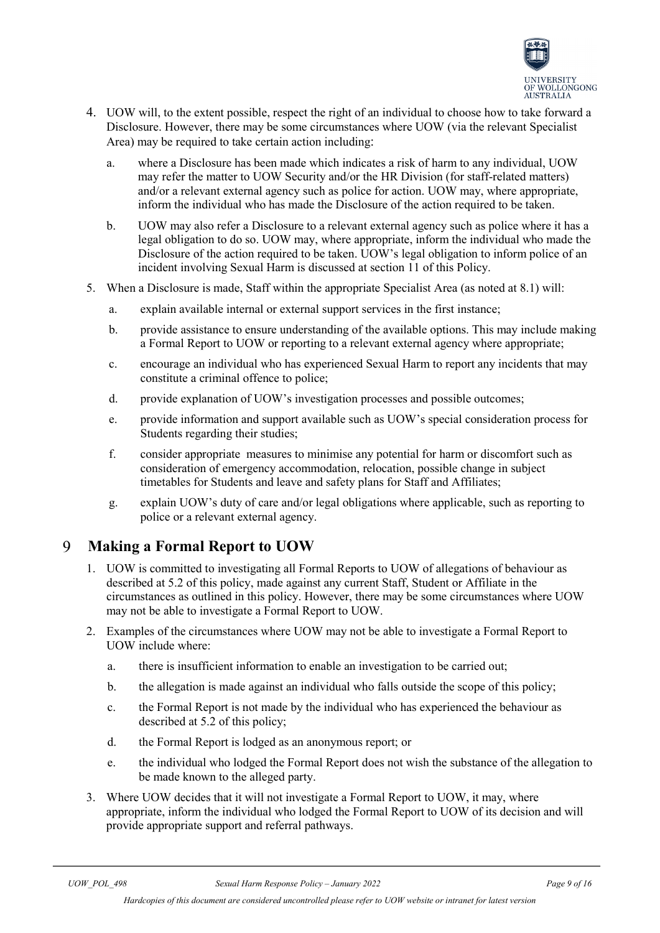

- 4. UOW will, to the extent possible, respect the right of an individual to choose how to take forward a Disclosure. However, there may be some circumstances where UOW (via the relevant Specialist Area) may be required to take certain action including:
	- a. where a Disclosure has been made which indicates a risk of harm to any individual, UOW may refer the matter to UOW Security and/or the HR Division (for staff-related matters) and/or a relevant external agency such as police for action. UOW may, where appropriate, inform the individual who has made the Disclosure of the action required to be taken.
	- b. UOW may also refer a Disclosure to a relevant external agency such as police where it has a legal obligation to do so. UOW may, where appropriate, inform the individual who made the Disclosure of the action required to be taken. UOW's legal obligation to inform police of an incident involving Sexual Harm is discussed at section 11 of this Policy.
- 5. When a Disclosure is made, Staff within the appropriate Specialist Area (as noted at 8.1) will:
	- a. explain available internal or external support services in the first instance;
	- b. provide assistance to ensure understanding of the available options. This may include making a Formal Report to UOW or reporting to a relevant external agency where appropriate;
	- c. encourage an individual who has experienced Sexual Harm to report any incidents that may constitute a criminal offence to police;
	- d. provide explanation of UOW's investigation processes and possible outcomes;
	- e. provide information and support available such as UOW's special consideration process for Students regarding their studies;
	- f. consider appropriate measures to minimise any potential for harm or discomfort such as consideration of emergency accommodation, relocation, possible change in subject timetables for Students and leave and safety plans for Staff and Affiliates;
	- g. explain UOW's duty of care and/or legal obligations where applicable, such as reporting to police or a relevant external agency.

#### <span id="page-8-0"></span> $\mathbf Q$ **Making a Formal Report to UOW**

- 1. UOW is committed to investigating all Formal Reports to UOW of allegations of behaviour as described at 5.2 of this policy, made against any current Staff, Student or Affiliate in the circumstances as outlined in this policy. However, there may be some circumstances where UOW may not be able to investigate a Formal Report to UOW.
- 2. Examples of the circumstances where UOW may not be able to investigate a Formal Report to UOW include where:
	- a. there is insufficient information to enable an investigation to be carried out;
	- b. the allegation is made against an individual who falls outside the scope of this policy;
	- c. the Formal Report is not made by the individual who has experienced the behaviour as described at 5.2 of this policy;
	- d. the Formal Report is lodged as an anonymous report; or
	- e. the individual who lodged the Formal Report does not wish the substance of the allegation to be made known to the alleged party.
- 3. Where UOW decides that it will not investigate a Formal Report to UOW, it may, where appropriate, inform the individual who lodged the Formal Report to UOW of its decision and will provide appropriate support and referral pathways.

*Hardcopies of this document are considered uncontrolled please refer to UOW website or intranet for latest version*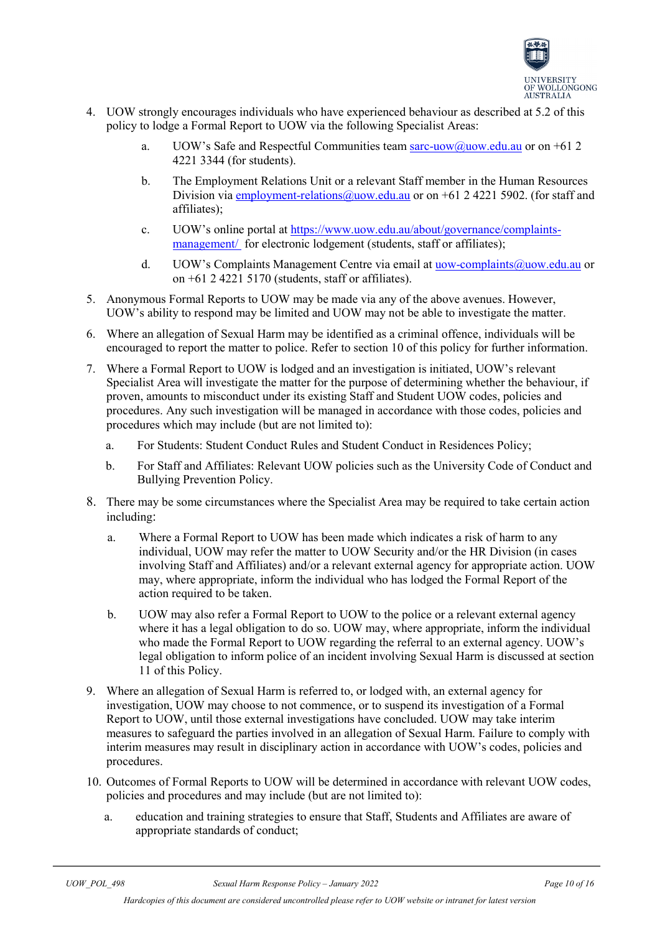

- 4. UOW strongly encourages individuals who have experienced behaviour as described at 5.2 of this policy to lodge a Formal Report to UOW via the following Specialist Areas:
	- a. UOW's Safe and Respectful Communities team [sarc-uow@uow.edu.au](mailto:sarc-uow@uow.edu.au) or on  $+61.2$ 4221 3344 (for students).
	- b. The Employment Relations Unit or a relevant Staff member in the Human Resources Division via [employment-relations@uow.edu.au](mailto:employment-relations@uow.edu.au) or on  $+61$  2 4221 5902. (for staff and affiliates);
	- c. UOW's online portal at https://www.uow.edu.au/about/governance/complaintsmanagement/ for electronic lodgement (students, staff or affiliates);
	- d. UOW's Complaints Management Centre via email at uow-complaints  $@$ uow.edu.au or on  $+61$  2 4221 5170 (students, staff or affiliates).
- 5. Anonymous Formal Reports to UOW may be made via any of the above avenues. However, UOW's ability to respond may be limited and UOW may not be able to investigate the matter.
- 6. Where an allegation of Sexual Harm may be identified as a criminal offence, individuals will be encouraged to report the matter to police. Refer to section 10 of this policy for further information.
- 7. Where a Formal Report to UOW is lodged and an investigation is initiated, UOW's relevant Specialist Area will investigate the matter for the purpose of determining whether the behaviour, if proven, amounts to misconduct under its existing Staff and Student UOW codes, policies and procedures. Any such investigation will be managed in accordance with those codes, policies and procedures which may include (but are not limited to):
	- a. For Students: Student Conduct Rules and Student Conduct in Residences Policy;
	- b. For Staff and Affiliates: Relevant UOW policies such as the University Code of Conduct and Bullying Prevention Policy.
- 8. There may be some circumstances where the Specialist Area may be required to take certain action including:
	- a. Where a Formal Report to UOW has been made which indicates a risk of harm to any individual, UOW may refer the matter to UOW Security and/or the HR Division (in cases involving Staff and Affiliates) and/or a relevant external agency for appropriate action. UOW may, where appropriate, inform the individual who has lodged the Formal Report of the action required to be taken.
	- b. UOW may also refer a Formal Report to UOW to the police or a relevant external agency where it has a legal obligation to do so. UOW may, where appropriate, inform the individual who made the Formal Report to UOW regarding the referral to an external agency. UOW's legal obligation to inform police of an incident involving Sexual Harm is discussed at section 11 of this Policy.
- 9. Where an allegation of Sexual Harm is referred to, or lodged with, an external agency for investigation, UOW may choose to not commence, or to suspend its investigation of a Formal Report to UOW, until those external investigations have concluded. UOW may take interim measures to safeguard the parties involved in an allegation of Sexual Harm. Failure to comply with interim measures may result in disciplinary action in accordance with UOW's codes, policies and procedures.
- 10. Outcomes of Formal Reports to UOW will be determined in accordance with relevant UOW codes, policies and procedures and may include (but are not limited to):
	- a. education and training strategies to ensure that Staff, Students and Affiliates are aware of appropriate standards of conduct;

*Hardcopies of this document are considered uncontrolled please refer to UOW website or intranet for latest version*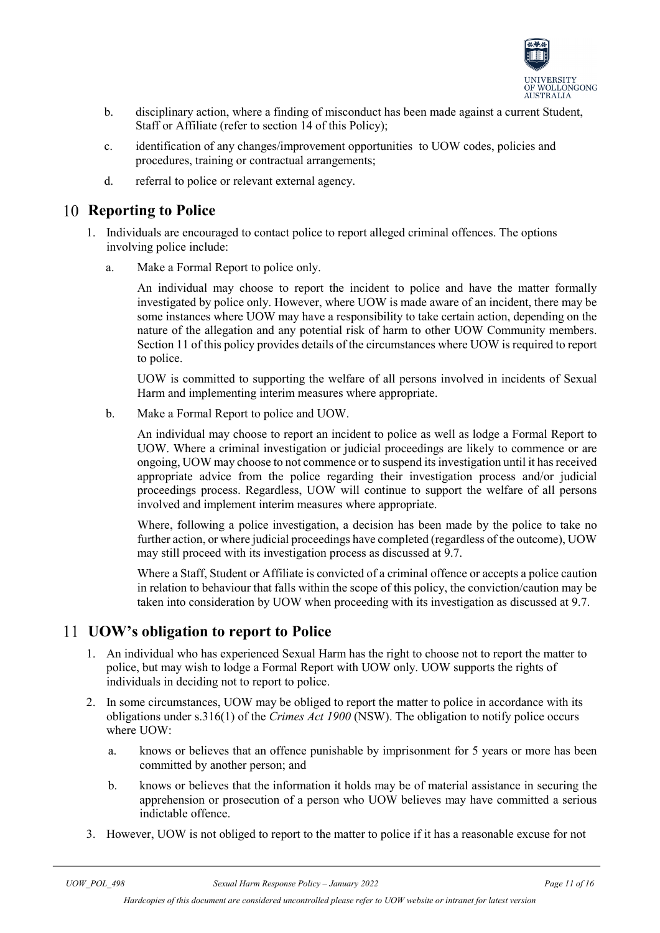

- b. disciplinary action, where a finding of misconduct has been made against a current Student, Staff or Affiliate (refer to section 14 of this Policy);
- c. identification of any changes/improvement opportunities to UOW codes, policies and procedures, training or contractual arrangements;
- d. referral to police or relevant external agency.

### <span id="page-10-0"></span>**Reporting to Police**

- 1. Individuals are encouraged to contact police to report alleged criminal offences. The options involving police include:
	- a. Make a Formal Report to police only.

An individual may choose to report the incident to police and have the matter formally investigated by police only. However, where UOW is made aware of an incident, there may be some instances where UOW may have a responsibility to take certain action, depending on the nature of the allegation and any potential risk of harm to other UOW Community members. Section 11 of this policy provides details of the circumstances where UOW is required to report to police.

UOW is committed to supporting the welfare of all persons involved in incidents of Sexual Harm and implementing interim measures where appropriate.

b. Make a Formal Report to police and UOW.

An individual may choose to report an incident to police as well as lodge a Formal Report to UOW. Where a criminal investigation or judicial proceedings are likely to commence or are ongoing, UOW may choose to not commence or to suspend its investigation until it has received appropriate advice from the police regarding their investigation process and/or judicial proceedings process. Regardless, UOW will continue to support the welfare of all persons involved and implement interim measures where appropriate.

Where, following a police investigation, a decision has been made by the police to take no further action, or where judicial proceedings have completed (regardless of the outcome), UOW may still proceed with its investigation process as discussed at 9.7.

Where a Staff, Student or Affiliate is convicted of a criminal offence or accepts a police caution in relation to behaviour that falls within the scope of this policy, the conviction/caution may be taken into consideration by UOW when proceeding with its investigation as discussed at 9.7.

### <span id="page-10-1"></span>**UOW's obligation to report to Police**

- 1. An individual who has experienced Sexual Harm has the right to choose not to report the matter to police, but may wish to lodge a Formal Report with UOW only. UOW supports the rights of individuals in deciding not to report to police.
- 2. In some circumstances, UOW may be obliged to report the matter to police in accordance with its obligations under s.316(1) of the *Crimes Act 1900* (NSW). The obligation to notify police occurs where UOW:
	- a. knows or believes that an offence punishable by imprisonment for 5 years or more has been committed by another person; and
	- b. knows or believes that the information it holds may be of material assistance in securing the apprehension or prosecution of a person who UOW believes may have committed a serious indictable offence.
- 3. However, UOW is not obliged to report to the matter to police if it has a reasonable excuse for not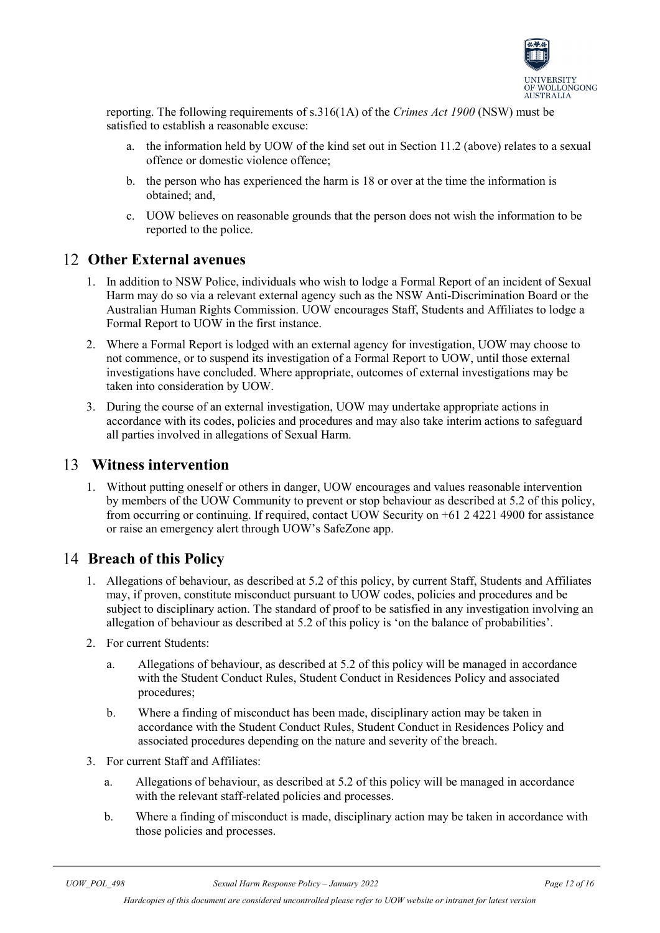

reporting. The following requirements of s.316(1A) of the *Crimes Act 1900* (NSW) must be satisfied to establish a reasonable excuse:

- a. the information held by UOW of the kind set out in Section 11.2 (above) relates to a sexual offence or domestic violence offence;
- b. the person who has experienced the harm is 18 or over at the time the information is obtained; and,
- c. UOW believes on reasonable grounds that the person does not wish the information to be reported to the police.

### <span id="page-11-0"></span>**Other External avenues**

- 1. In addition to NSW Police, individuals who wish to lodge a Formal Report of an incident of Sexual Harm may do so via a relevant external agency such as the NSW Anti-Discrimination Board or the Australian Human Rights Commission. UOW encourages Staff, Students and Affiliates to lodge a Formal Report to UOW in the first instance.
- 2. Where a Formal Report is lodged with an external agency for investigation, UOW may choose to not commence, or to suspend its investigation of a Formal Report to UOW, until those external investigations have concluded. Where appropriate, outcomes of external investigations may be taken into consideration by UOW.
- 3. During the course of an external investigation, UOW may undertake appropriate actions in accordance with its codes, policies and procedures and may also take interim actions to safeguard all parties involved in allegations of Sexual Harm.

### <span id="page-11-1"></span>**Witness intervention**

1. Without putting oneself or others in danger, UOW encourages and values reasonable intervention by members of the UOW Community to prevent or stop behaviour as described at 5.2 of this policy, from occurring or continuing. If required, contact UOW Security on +61 2 4221 4900 for assistance or raise an emergency alert through UOW's SafeZone app.

### <span id="page-11-2"></span>**Breach of this Policy**

- 1. Allegations of behaviour, as described at 5.2 of this policy, by current Staff, Students and Affiliates may, if proven, constitute misconduct pursuant to UOW codes, policies and procedures and be subject to disciplinary action. The standard of proof to be satisfied in any investigation involving an allegation of behaviour as described at 5.2 of this policy is 'on the balance of probabilities'.
- 2. For current Students:
	- a. Allegations of behaviour, as described at 5.2 of this policy will be managed in accordance with the Student Conduct Rules, Student Conduct in Residences Policy and associated procedures;
	- b. Where a finding of misconduct has been made, disciplinary action may be taken in accordance with the Student Conduct Rules, Student Conduct in Residences Policy and associated procedures depending on the nature and severity of the breach.
- 3. For current Staff and Affiliates:
	- a. Allegations of behaviour, as described at 5.2 of this policy will be managed in accordance with the relevant staff-related policies and processes.
	- b. Where a finding of misconduct is made, disciplinary action may be taken in accordance with those policies and processes.

*Hardcopies of this document are considered uncontrolled please refer to UOW website or intranet for latest version*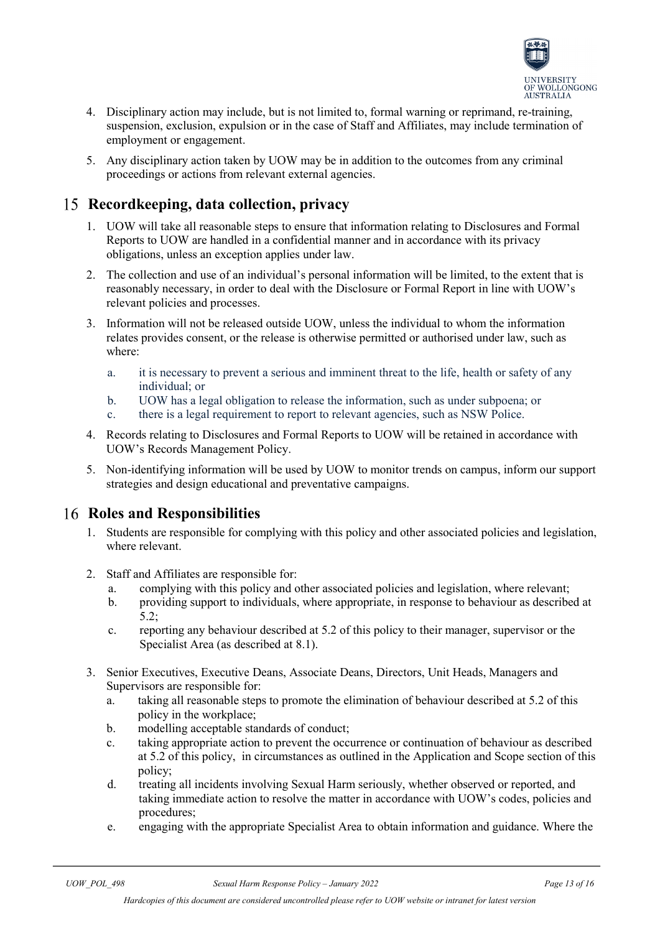

- 4. Disciplinary action may include, but is not limited to, formal warning or reprimand, re-training, suspension, exclusion, expulsion or in the case of Staff and Affiliates, may include termination of employment or engagement.
- 5. Any disciplinary action taken by UOW may be in addition to the outcomes from any criminal proceedings or actions from relevant external agencies.

## <span id="page-12-0"></span>**Recordkeeping, data collection, privacy**

- 1. UOW will take all reasonable steps to ensure that information relating to Disclosures and Formal Reports to UOW are handled in a confidential manner and in accordance with its privacy obligations, unless an exception applies under law.
- 2. The collection and use of an individual's personal information will be limited, to the extent that is reasonably necessary, in order to deal with the Disclosure or Formal Report in line with UOW's relevant policies and processes.
- 3. Information will not be released outside UOW, unless the individual to whom the information relates provides consent, or the release is otherwise permitted or authorised under law, such as where:
	- a. it is necessary to prevent a serious and imminent threat to the life, health or safety of any individual; or
	- b. UOW has a legal obligation to release the information, such as under subpoena; or
	- c. there is a legal requirement to report to relevant agencies, such as NSW Police.
- 4. Records relating to Disclosures and Formal Reports to UOW will be retained in accordance with UOW's Records Management Policy.
- 5. Non-identifying information will be used by UOW to monitor trends on campus, inform our support strategies and design educational and preventative campaigns.

### <span id="page-12-1"></span>**Roles and Responsibilities**

- 1. Students are responsible for complying with this policy and other associated policies and legislation, where relevant.
- 2. Staff and Affiliates are responsible for:
	- a. complying with this policy and other associated policies and legislation, where relevant;
	- b. providing support to individuals, where appropriate, in response to behaviour as described at 5.2;
	- c. reporting any behaviour described at 5.2 of this policy to their manager, supervisor or the Specialist Area (as described at 8.1).
- 3. Senior Executives, Executive Deans, Associate Deans, Directors, Unit Heads, Managers and Supervisors are responsible for:
	- a. taking all reasonable steps to promote the elimination of behaviour described at 5.2 of this policy in the workplace;
	- b. modelling acceptable standards of conduct;
	- c. taking appropriate action to prevent the occurrence or continuation of behaviour as described at 5.2 of this policy, in circumstances as outlined in the Application and Scope section of this policy;
	- d. treating all incidents involving Sexual Harm seriously, whether observed or reported, and taking immediate action to resolve the matter in accordance with UOW's codes, policies and procedures;
	- e. engaging with the appropriate Specialist Area to obtain information and guidance. Where the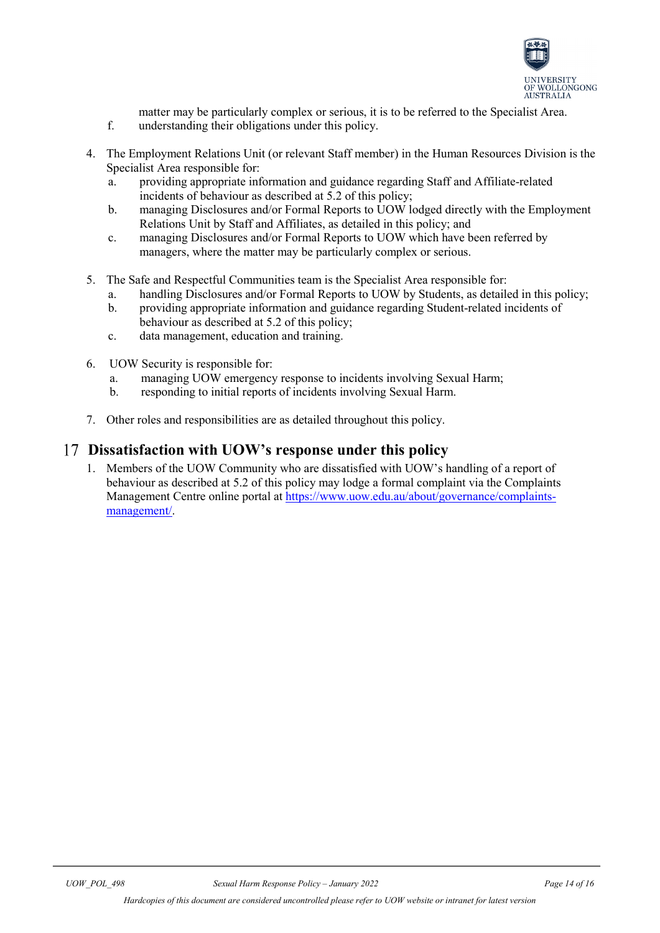

matter may be particularly complex or serious, it is to be referred to the Specialist Area.

- f. understanding their obligations under this policy.
- 4. The Employment Relations Unit (or relevant Staff member) in the Human Resources Division is the Specialist Area responsible for:
	- a. providing appropriate information and guidance regarding Staff and Affiliate-related incidents of behaviour as described at 5.2 of this policy;
	- b. managing Disclosures and/or Formal Reports to UOW lodged directly with the Employment Relations Unit by Staff and Affiliates, as detailed in this policy; and
	- c. managing Disclosures and/or Formal Reports to UOW which have been referred by managers, where the matter may be particularly complex or serious.
- 5. The Safe and Respectful Communities team is the Specialist Area responsible for:
	- a. handling Disclosures and/or Formal Reports to UOW by Students, as detailed in this policy;
	- b. providing appropriate information and guidance regarding Student-related incidents of behaviour as described at 5.2 of this policy;
	- c. data management, education and training.
- 6. UOW Security is responsible for:
	- a. managing UOW emergency response to incidents involving Sexual Harm;
	- b. responding to initial reports of incidents involving Sexual Harm.
- 7. Other roles and responsibilities are as detailed throughout this policy.

### <span id="page-13-0"></span>**Dissatisfaction with UOW's response under this policy**

<span id="page-13-1"></span>1. Members of the UOW Community who are dissatisfied with UOW's handling of a report of behaviour as described at 5.2 of this policy may lodge a formal complaint via the Complaints Management Centre online portal at [https://www.uow.edu.au/about/governance/complaints](https://www.uow.edu.au/about/governance/complaints-management/)[management/.](https://www.uow.edu.au/about/governance/complaints-management/)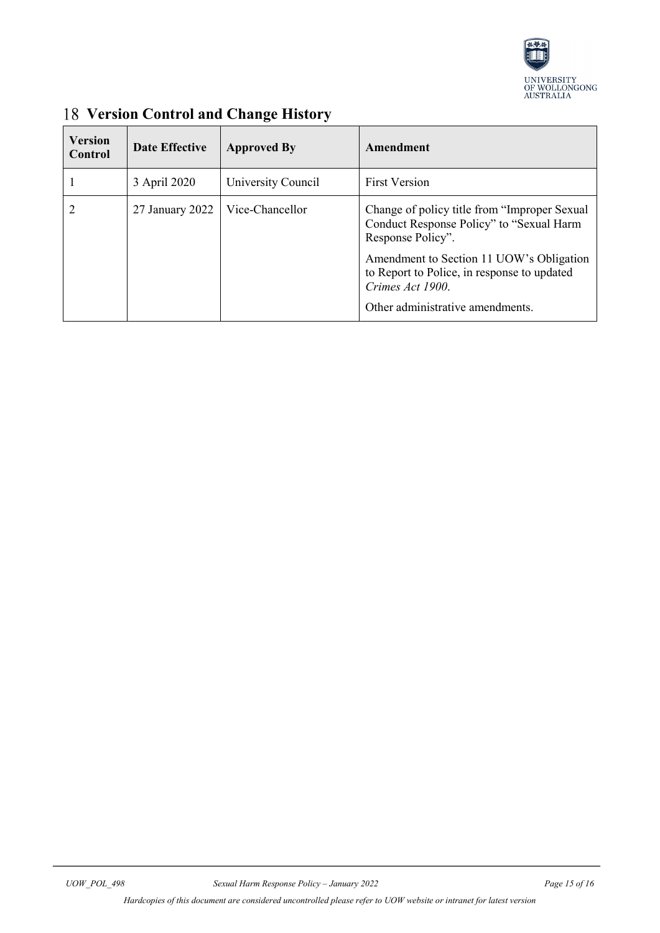

| <b>Version</b><br>Control | <b>Date Effective</b> | <b>Approved By</b> | Amendment                                                                                                       |
|---------------------------|-----------------------|--------------------|-----------------------------------------------------------------------------------------------------------------|
|                           | 3 April 2020          | University Council | <b>First Version</b>                                                                                            |
|                           | 27 January 2022       | Vice-Chancellor    | Change of policy title from "Improper Sexual"<br>Conduct Response Policy" to "Sexual Harm"<br>Response Policy". |
|                           |                       |                    | Amendment to Section 11 UOW's Obligation<br>to Report to Police, in response to updated<br>Crimes Act 1900.     |
|                           |                       |                    | Other administrative amendments.                                                                                |

# **Version Control and Change History**